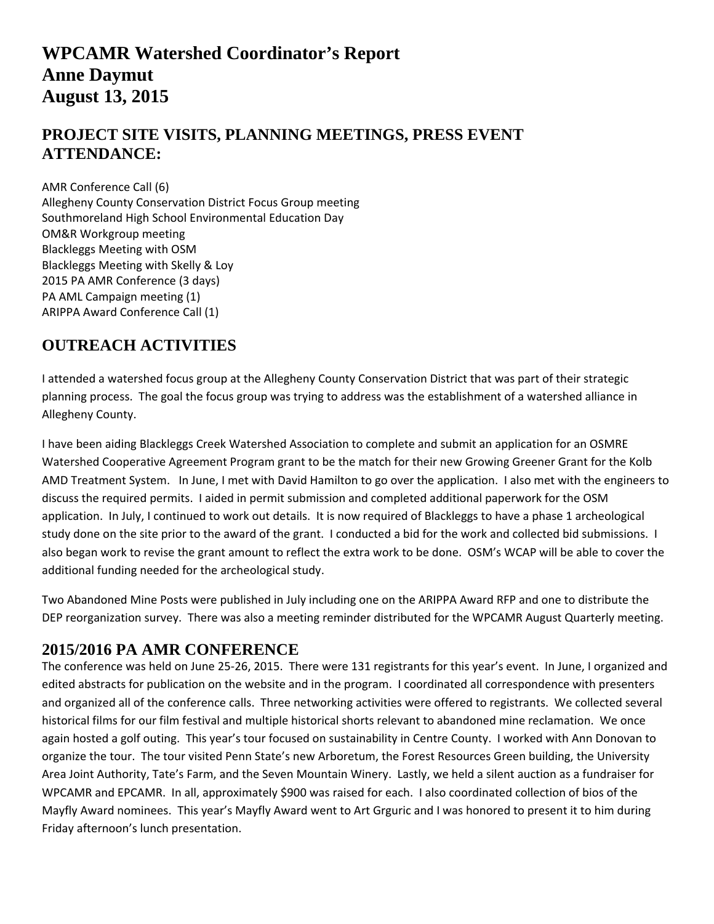# **WPCAMR Watershed Coordinator's Report Anne Daymut August 13, 2015**

### **PROJECT SITE VISITS, PLANNING MEETINGS, PRESS EVENT ATTENDANCE:**

AMR Conference Call (6) Allegheny County Conservation District Focus Group meeting Southmoreland High School Environmental Education Day OM&R Workgroup meeting Blackleggs Meeting with OSM Blackleggs Meeting with Skelly & Loy 2015 PA AMR Conference (3 days) PA AML Campaign meeting (1) ARIPPA Award Conference Call (1)

### **OUTREACH ACTIVITIES**

I attended a watershed focus group at the Allegheny County Conservation District that was part of their strategic planning process. The goal the focus group was trying to address was the establishment of a watershed alliance in Allegheny County.

I have been aiding Blackleggs Creek Watershed Association to complete and submit an application for an OSMRE Watershed Cooperative Agreement Program grant to be the match for their new Growing Greener Grant for the Kolb AMD Treatment System. In June, I met with David Hamilton to go over the application. I also met with the engineers to discuss the required permits. I aided in permit submission and completed additional paperwork for the OSM application. In July, I continued to work out details. It is now required of Blackleggs to have a phase 1 archeological study done on the site prior to the award of the grant. I conducted a bid for the work and collected bid submissions. I also began work to revise the grant amount to reflect the extra work to be done. OSM's WCAP will be able to cover the additional funding needed for the archeological study.

Two Abandoned Mine Posts were published in July including one on the ARIPPA Award RFP and one to distribute the DEP reorganization survey. There was also a meeting reminder distributed for the WPCAMR August Quarterly meeting.

#### **2015/2016 PA AMR CONFERENCE**

The conference was held on June 25‐26, 2015. There were 131 registrants for this year's event. In June, I organized and edited abstracts for publication on the website and in the program. I coordinated all correspondence with presenters and organized all of the conference calls. Three networking activities were offered to registrants. We collected several historical films for our film festival and multiple historical shorts relevant to abandoned mine reclamation. We once again hosted a golf outing. This year's tour focused on sustainability in Centre County. I worked with Ann Donovan to organize the tour. The tour visited Penn State's new Arboretum, the Forest Resources Green building, the University Area Joint Authority, Tate's Farm, and the Seven Mountain Winery. Lastly, we held a silent auction as a fundraiser for WPCAMR and EPCAMR. In all, approximately \$900 was raised for each. I also coordinated collection of bios of the Mayfly Award nominees. This year's Mayfly Award went to Art Grguric and I was honored to present it to him during Friday afternoon's lunch presentation.